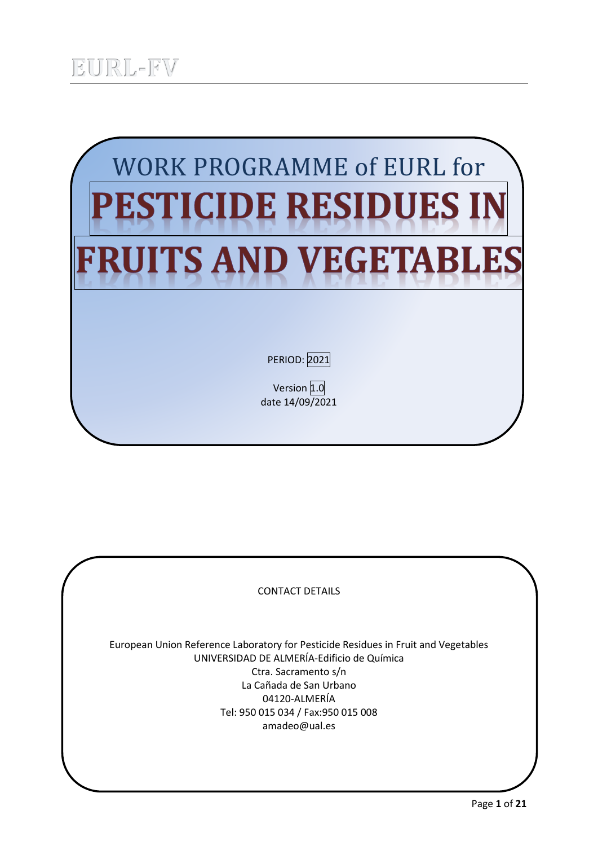

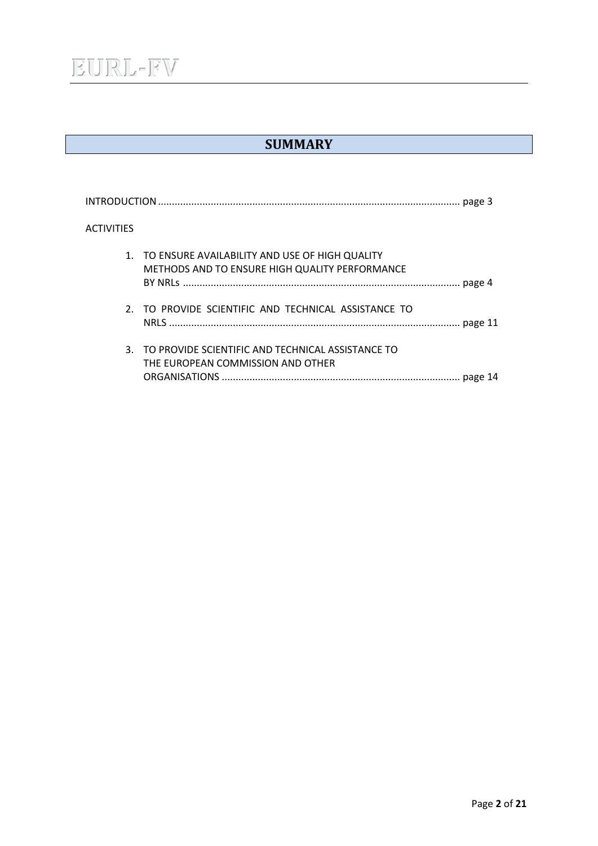

## **SUMMARY**

| <b>ACTIVITIES</b> |                                                                                                     |
|-------------------|-----------------------------------------------------------------------------------------------------|
|                   | 1. TO ENSURE AVAILABILITY AND USE OF HIGH QUALITY<br>METHODS AND TO ENSURE HIGH QUALITY PERFORMANCE |
|                   | 2. TO PROVIDE SCIENTIFIC AND TECHNICAL ASSISTANCE TO                                                |
|                   | 3. TO PROVIDE SCIENTIFIC AND TECHNICAL ASSISTANCE TO<br>THE EUROPEAN COMMISSION AND OTHER           |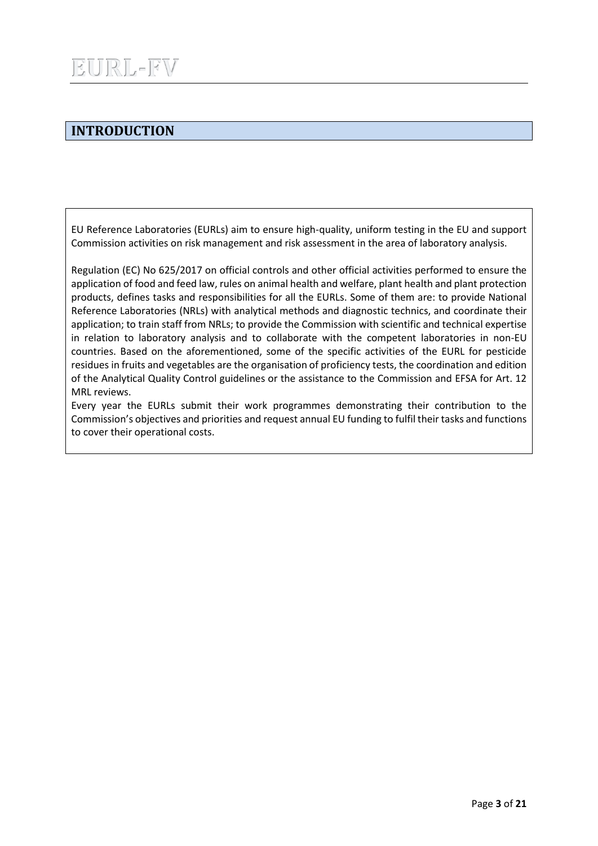## **INTRODUCTION**

EU Reference Laboratories (EURLs) aim to ensure high-quality, uniform testing in the EU and support Commission activities on risk management and risk assessment in the area of laboratory analysis.

Regulation (EC) No 625/2017 on official controls and other official activities performed to ensure the application of food and feed law, rules on animal health and welfare, plant health and plant protection products, defines tasks and responsibilities for all the EURLs. Some of them are: to provide National Reference Laboratories (NRLs) with analytical methods and diagnostic technics, and coordinate their application; to train staff from NRLs; to provide the Commission with scientific and technical expertise in relation to laboratory analysis and to collaborate with the competent laboratories in non-EU countries. Based on the aforementioned, some of the specific activities of the EURL for pesticide residues in fruits and vegetables are the organisation of proficiency tests, the coordination and edition of the Analytical Quality Control guidelines or the assistance to the Commission and EFSA for Art. 12 MRL reviews.

Every year the EURLs submit their work programmes demonstrating their contribution to the Commission's objectives and priorities and request annual EU funding to fulfil their tasks and functions to cover their operational costs.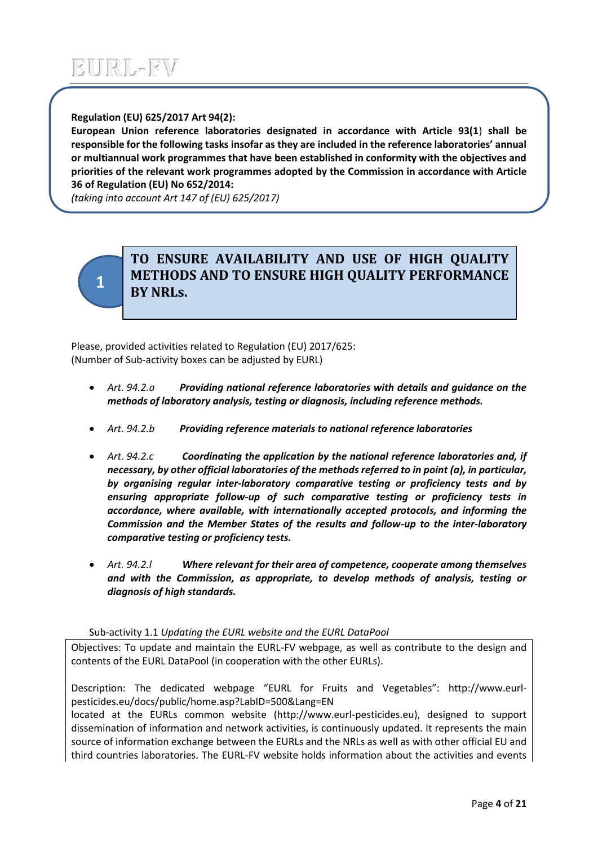### **Regulation (EU) 625/2017 Art 94(2):**

**European Union reference laboratories designated in accordance with Article 93(1**) **shall be responsible for the following tasks insofar as they are included in the reference laboratories' annual or multiannual work programmes that have been established in conformity with the objectives and priorities of the relevant work programmes adopted by the Commission in accordance with Article 36 of Regulation (EU) No 652/2014:**

*(taking into account Art 147 of (EU) 625/2017)*



## **TO ENSURE AVAILABILITY AND USE OF HIGH QUALITY METHODS AND TO ENSURE HIGH QUALITY PERFORMANCE BY NRLs.**

Please, provided activities related to Regulation (EU) 2017/625: (Number of Sub-activity boxes can be adjusted by EURL)

- *Art. 94.2.a Providing national reference laboratories with details and guidance on the methods of laboratory analysis, testing or diagnosis, including reference methods.*
- *Art. 94.2.b Providing reference materials to national reference laboratories*
- *Art. 94.2.c Coordinating the application by the national reference laboratories and, if necessary, by other official laboratories of the methods referred to in point (a), in particular, by organising regular inter-laboratory comparative testing or proficiency tests and by ensuring appropriate follow-up of such comparative testing or proficiency tests in accordance, where available, with internationally accepted protocols, and informing the Commission and the Member States of the results and follow-up to the inter-laboratory comparative testing or proficiency tests.*
- *Art. 94.2.l Where relevant for their area of competence, cooperate among themselves and with the Commission, as appropriate, to develop methods of analysis, testing or diagnosis of high standards.*

Sub-activity 1.1 *Updating the EURL website and the EURL DataPool*

Objectives: To update and maintain the EURL-FV webpage, as well as contribute to the design and contents of the EURL DataPool (in cooperation with the other EURLs).

Description: The dedicated webpage "EURL for Fruits and Vegetables": http://www.eurlpesticides.eu/docs/public/home.asp?LabID=500&Lang=EN

located at the EURLs common website (http://www.eurl-pesticides.eu), designed to support dissemination of information and network activities, is continuously updated. It represents the main source of information exchange between the EURLs and the NRLs as well as with other official EU and third countries laboratories. The EURL-FV website holds information about the activities and events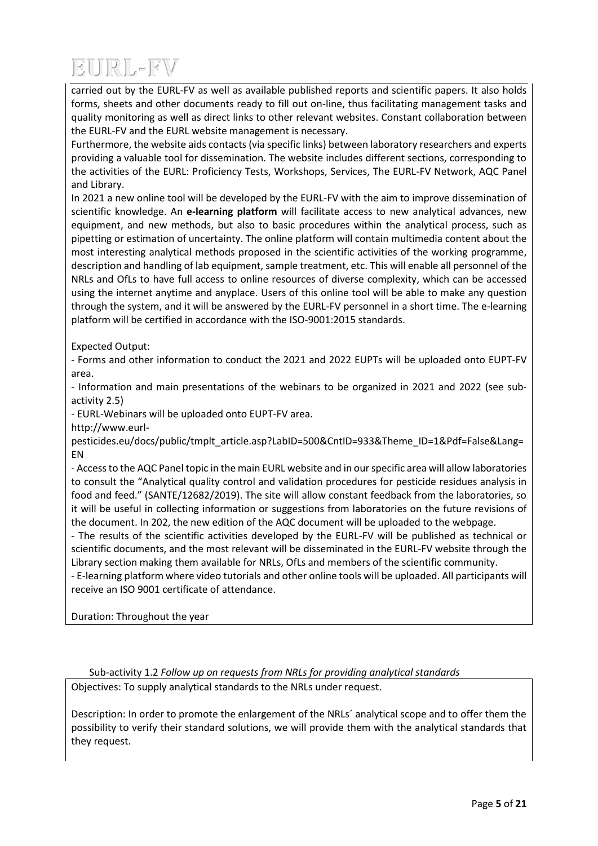carried out by the EURL-FV as well as available published reports and scientific papers. It also holds forms, sheets and other documents ready to fill out on-line, thus facilitating management tasks and quality monitoring as well as direct links to other relevant websites. Constant collaboration between the EURL-FV and the EURL website management is necessary.

Furthermore, the website aids contacts (via specific links) between laboratory researchers and experts providing a valuable tool for dissemination. The website includes different sections, corresponding to the activities of the EURL: Proficiency Tests, Workshops, Services, The EURL-FV Network, AQC Panel and Library.

In 2021 a new online tool will be developed by the EURL-FV with the aim to improve dissemination of scientific knowledge. An **e-learning platform** will facilitate access to new analytical advances, new equipment, and new methods, but also to basic procedures within the analytical process, such as pipetting or estimation of uncertainty. The online platform will contain multimedia content about the most interesting analytical methods proposed in the scientific activities of the working programme, description and handling of lab equipment, sample treatment, etc. This will enable all personnel of the NRLs and OfLs to have full access to online resources of diverse complexity, which can be accessed using the internet anytime and anyplace. Users of this online tool will be able to make any question through the system, and it will be answered by the EURL-FV personnel in a short time. The e-learning platform will be certified in accordance with the ISO-9001:2015 standards.

Expected Output:

- Forms and other information to conduct the 2021 and 2022 EUPTs will be uploaded onto EUPT-FV area.

- Information and main presentations of the webinars to be organized in 2021 and 2022 (see subactivity 2.5)

- EURL-Webinars will be uploaded onto EUPT-FV area.

http://www.eurl-

pesticides.eu/docs/public/tmplt\_article.asp?LabID=500&CntID=933&Theme\_ID=1&Pdf=False&Lang= EN

- Access to the AQC Panel topic in the main EURL website and in our specific area will allow laboratories to consult the "Analytical quality control and validation procedures for pesticide residues analysis in food and feed." (SANTE/12682/2019). The site will allow constant feedback from the laboratories, so it will be useful in collecting information or suggestions from laboratories on the future revisions of the document. In 202, the new edition of the AQC document will be uploaded to the webpage.

- The results of the scientific activities developed by the EURL-FV will be published as technical or scientific documents, and the most relevant will be disseminated in the EURL-FV website through the Library section making them available for NRLs, OfLs and members of the scientific community.

- E-learning platform where video tutorials and other online tools will be uploaded. All participants will receive an ISO 9001 certificate of attendance.

Duration: Throughout the year

Sub-activity 1.2 *Follow up on requests from NRLs for providing analytical standards* Objectives: To supply analytical standards to the NRLs under request.

Description: In order to promote the enlargement of the NRLs´ analytical scope and to offer them the possibility to verify their standard solutions, we will provide them with the analytical standards that they request.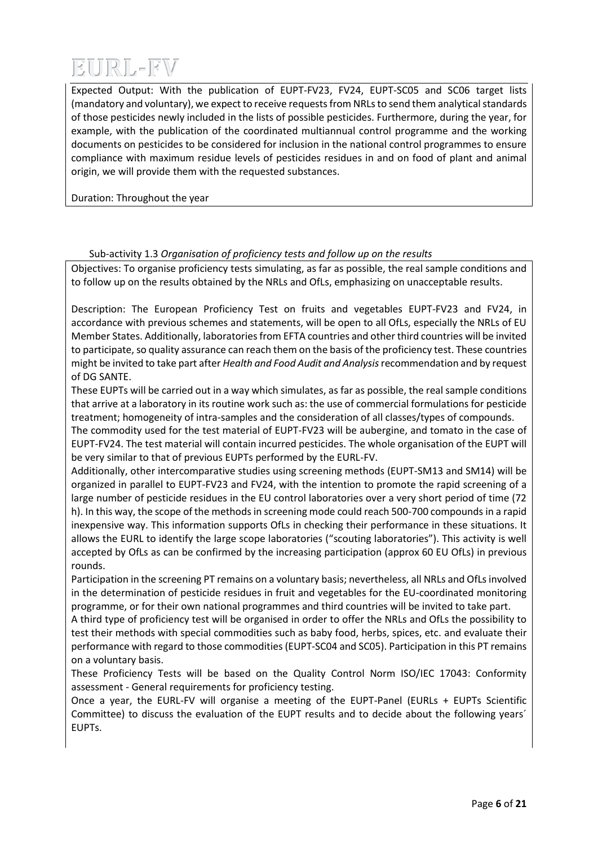Expected Output: With the publication of EUPT-FV23, FV24, EUPT-SC05 and SC06 target lists (mandatory and voluntary), we expect to receive requests from NRLs to send them analytical standards of those pesticides newly included in the lists of possible pesticides. Furthermore, during the year, for example, with the publication of the coordinated multiannual control programme and the working documents on pesticides to be considered for inclusion in the national control programmes to ensure compliance with maximum residue levels of pesticides residues in and on food of plant and animal origin, we will provide them with the requested substances.

Duration: Throughout the year

### Sub-activity 1.3 *Organisation of proficiency tests and follow up on the results*

Objectives: To organise proficiency tests simulating, as far as possible, the real sample conditions and to follow up on the results obtained by the NRLs and OfLs, emphasizing on unacceptable results.

Description: The European Proficiency Test on fruits and vegetables EUPT-FV23 and FV24, in accordance with previous schemes and statements, will be open to all OfLs, especially the NRLs of EU Member States. Additionally, laboratories from EFTA countries and other third countries will be invited to participate, so quality assurance can reach them on the basis of the proficiency test. These countries might be invited to take part after *Health and Food Audit and Analysis*recommendation and by request of DG SANTE.

These EUPTs will be carried out in a way which simulates, as far as possible, the real sample conditions that arrive at a laboratory in its routine work such as: the use of commercial formulations for pesticide treatment; homogeneity of intra-samples and the consideration of all classes/types of compounds.

The commodity used for the test material of EUPT-FV23 will be aubergine, and tomato in the case of EUPT-FV24. The test material will contain incurred pesticides. The whole organisation of the EUPT will be very similar to that of previous EUPTs performed by the EURL-FV.

Additionally, other intercomparative studies using screening methods (EUPT-SM13 and SM14) will be organized in parallel to EUPT-FV23 and FV24, with the intention to promote the rapid screening of a large number of pesticide residues in the EU control laboratories over a very short period of time (72 h). In this way, the scope of the methods in screening mode could reach 500-700 compounds in a rapid inexpensive way. This information supports OfLs in checking their performance in these situations. It allows the EURL to identify the large scope laboratories ("scouting laboratories"). This activity is well accepted by OfLs as can be confirmed by the increasing participation (approx 60 EU OfLs) in previous rounds.

Participation in the screening PT remains on a voluntary basis; nevertheless, all NRLs and OfLs involved in the determination of pesticide residues in fruit and vegetables for the EU-coordinated monitoring programme, or for their own national programmes and third countries will be invited to take part.

A third type of proficiency test will be organised in order to offer the NRLs and OfLs the possibility to test their methods with special commodities such as baby food, herbs, spices, etc. and evaluate their performance with regard to those commodities(EUPT-SC04 and SC05). Participation in this PT remains on a voluntary basis.

These Proficiency Tests will be based on the Quality Control Norm ISO/IEC 17043: Conformity assessment - General requirements for proficiency testing.

Once a year, the EURL-FV will organise a meeting of the EUPT-Panel (EURLs + EUPTs Scientific Committee) to discuss the evaluation of the EUPT results and to decide about the following years´ EUPTs.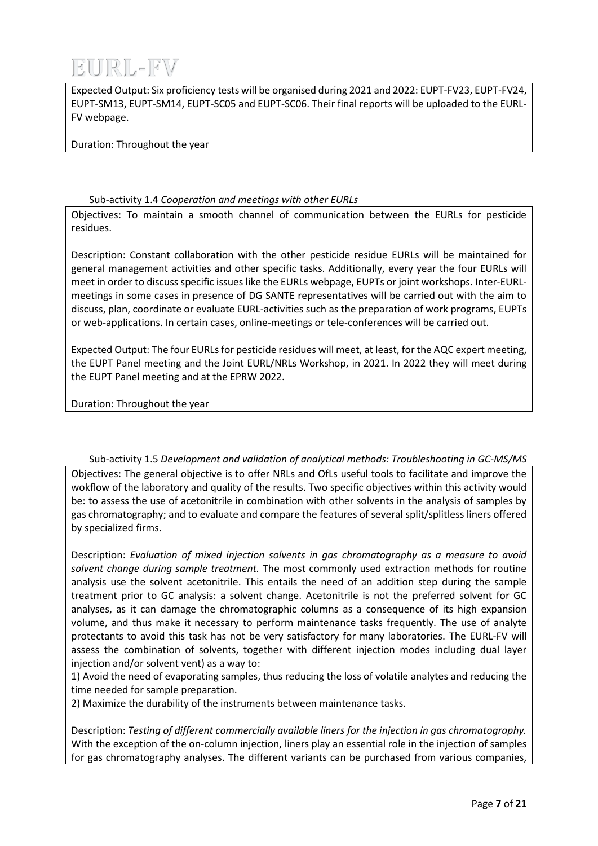

Expected Output: Six proficiency tests will be organised during 2021 and 2022: EUPT-FV23, EUPT-FV24, EUPT-SM13, EUPT-SM14, EUPT-SC05 and EUPT-SC06. Their final reports will be uploaded to the EURL-FV webpage.

Duration: Throughout the year

### Sub-activity 1.4 *Cooperation and meetings with other EURLs*

Objectives: To maintain a smooth channel of communication between the EURLs for pesticide residues.

Description: Constant collaboration with the other pesticide residue EURLs will be maintained for general management activities and other specific tasks. Additionally, every year the four EURLs will meet in order to discuss specific issues like the EURLs webpage, EUPTs or joint workshops. Inter-EURLmeetings in some cases in presence of DG SANTE representatives will be carried out with the aim to discuss, plan, coordinate or evaluate EURL-activities such as the preparation of work programs, EUPTs or web-applications. In certain cases, online-meetings or tele-conferences will be carried out.

Expected Output: The four EURLs for pesticide residues will meet, at least, for the AQC expert meeting, the EUPT Panel meeting and the Joint EURL/NRLs Workshop, in 2021. In 2022 they will meet during the EUPT Panel meeting and at the EPRW 2022.

Duration: Throughout the year

Sub-activity 1.5 *Development and validation of analytical methods: Troubleshooting in GC-MS/MS* Objectives: The general objective is to offer NRLs and OfLs useful tools to facilitate and improve the wokflow of the laboratory and quality of the results. Two specific objectives within this activity would be: to assess the use of acetonitrile in combination with other solvents in the analysis of samples by gas chromatography; and to evaluate and compare the features of several split/splitless liners offered by specialized firms.

Description: *Evaluation of mixed injection solvents in gas chromatography as a measure to avoid solvent change during sample treatment.* The most commonly used extraction methods for routine analysis use the solvent acetonitrile. This entails the need of an addition step during the sample treatment prior to GC analysis: a solvent change. Acetonitrile is not the preferred solvent for GC analyses, as it can damage the chromatographic columns as a consequence of its high expansion volume, and thus make it necessary to perform maintenance tasks frequently. The use of analyte protectants to avoid this task has not be very satisfactory for many laboratories. The EURL-FV will assess the combination of solvents, together with different injection modes including dual layer injection and/or solvent vent) as a way to:

1) Avoid the need of evaporating samples, thus reducing the loss of volatile analytes and reducing the time needed for sample preparation.

2) Maximize the durability of the instruments between maintenance tasks.

Description: *Testing of different commercially available liners for the injection in gas chromatography.*  With the exception of the on-column injection, liners play an essential role in the injection of samples for gas chromatography analyses. The different variants can be purchased from various companies,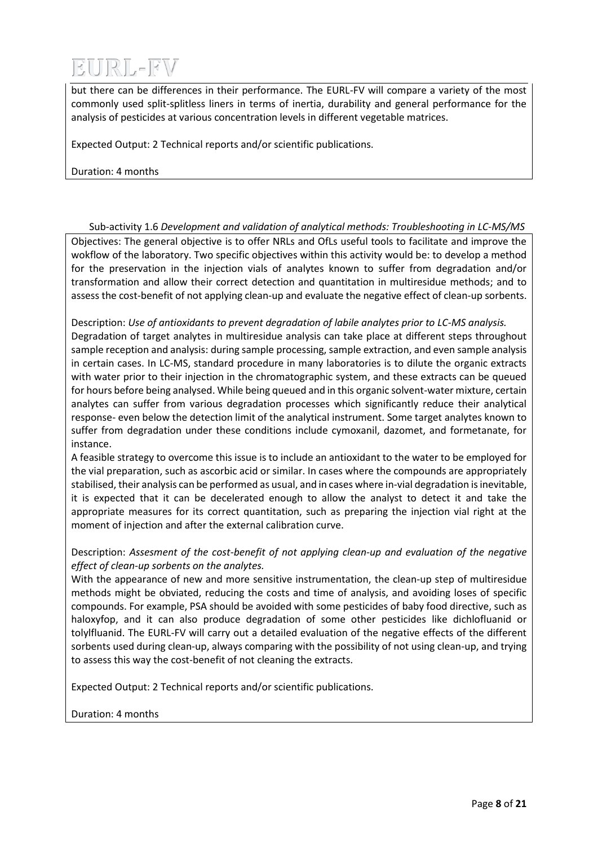but there can be differences in their performance. The EURL-FV will compare a variety of the most commonly used split-splitless liners in terms of inertia, durability and general performance for the analysis of pesticides at various concentration levels in different vegetable matrices.

Expected Output: 2 Technical reports and/or scientific publications.

Duration: 4 months

Sub-activity 1.6 *Development and validation of analytical methods: Troubleshooting in LC-MS/MS*

Objectives: The general objective is to offer NRLs and OfLs useful tools to facilitate and improve the wokflow of the laboratory. Two specific objectives within this activity would be: to develop a method for the preservation in the injection vials of analytes known to suffer from degradation and/or transformation and allow their correct detection and quantitation in multiresidue methods; and to assess the cost-benefit of not applying clean-up and evaluate the negative effect of clean-up sorbents.

Description: *Use of antioxidants to prevent degradation of labile analytes prior to LC-MS analysis.*  Degradation of target analytes in multiresidue analysis can take place at different steps throughout sample reception and analysis: during sample processing, sample extraction, and even sample analysis in certain cases. In LC-MS, standard procedure in many laboratories is to dilute the organic extracts with water prior to their injection in the chromatographic system, and these extracts can be queued for hours before being analysed. While being queued and in this organic solvent-water mixture, certain analytes can suffer from various degradation processes which significantly reduce their analytical response- even below the detection limit of the analytical instrument. Some target analytes known to suffer from degradation under these conditions include cymoxanil, dazomet, and formetanate, for instance.

A feasible strategy to overcome this issue is to include an antioxidant to the water to be employed for the vial preparation, such as ascorbic acid or similar. In cases where the compounds are appropriately stabilised, their analysis can be performed as usual, and in cases where in-vial degradation is inevitable, it is expected that it can be decelerated enough to allow the analyst to detect it and take the appropriate measures for its correct quantitation, such as preparing the injection vial right at the moment of injection and after the external calibration curve.

Description: *Assesment of the cost-benefit of not applying clean-up and evaluation of the negative effect of clean-up sorbents on the analytes.*

With the appearance of new and more sensitive instrumentation, the clean-up step of multiresidue methods might be obviated, reducing the costs and time of analysis, and avoiding loses of specific compounds. For example, PSA should be avoided with some pesticides of baby food directive, such as haloxyfop, and it can also produce degradation of some other pesticides like dichlofluanid or tolylfluanid. The EURL-FV will carry out a detailed evaluation of the negative effects of the different sorbents used during clean-up, always comparing with the possibility of not using clean-up, and trying to assess this way the cost-benefit of not cleaning the extracts.

Expected Output: 2 Technical reports and/or scientific publications.

Duration: 4 months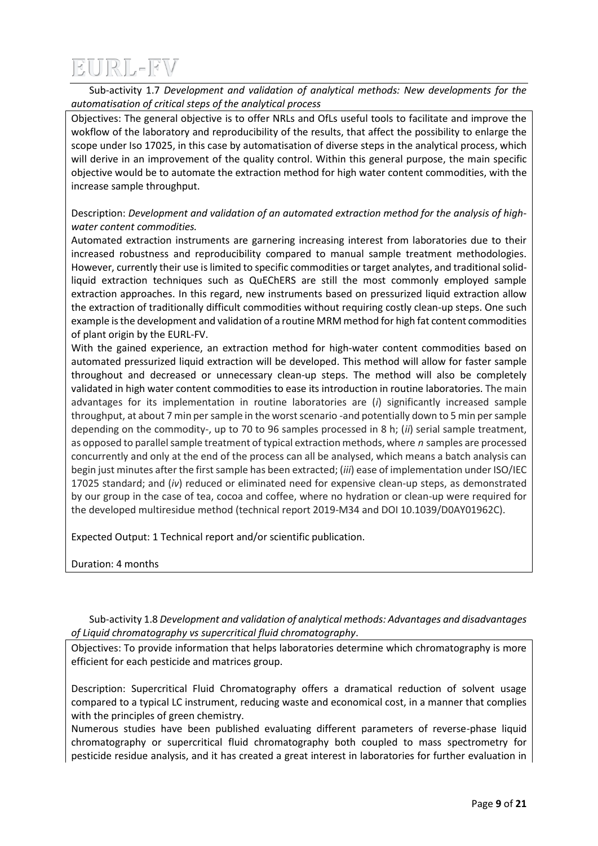Sub-activity 1.7 *Development and validation of analytical methods: New developments for the automatisation of critical steps of the analytical process*

Objectives: The general objective is to offer NRLs and OfLs useful tools to facilitate and improve the wokflow of the laboratory and reproducibility of the results, that affect the possibility to enlarge the scope under Iso 17025, in this case by automatisation of diverse steps in the analytical process, which will derive in an improvement of the quality control. Within this general purpose, the main specific objective would be to automate the extraction method for high water content commodities, with the increase sample throughput.

Description: *Development and validation of an automated extraction method for the analysis of highwater content commodities.*

Automated extraction instruments are garnering increasing interest from laboratories due to their increased robustness and reproducibility compared to manual sample treatment methodologies. However, currently their use is limited to specific commodities or target analytes, and traditional solidliquid extraction techniques such as QuEChERS are still the most commonly employed sample extraction approaches. In this regard, new instruments based on pressurized liquid extraction allow the extraction of traditionally difficult commodities without requiring costly clean-up steps. One such example is the development and validation of a routine MRM method for high fat content commodities of plant origin by the EURL-FV.

With the gained experience, an extraction method for high-water content commodities based on automated pressurized liquid extraction will be developed. This method will allow for faster sample throughout and decreased or unnecessary clean-up steps. The method will also be completely validated in high water content commodities to ease its introduction in routine laboratories. The main advantages for its implementation in routine laboratories are (*i*) significantly increased sample throughput, at about 7 min per sample in the worst scenario -and potentially down to 5 min per sample depending on the commodity-, up to 70 to 96 samples processed in 8 h; (*ii*) serial sample treatment, as opposed to parallel sample treatment of typical extraction methods, where *n* samples are processed concurrently and only at the end of the process can all be analysed, which means a batch analysis can begin just minutes after the first sample has been extracted; (*iii*) ease of implementation under ISO/IEC 17025 standard; and (*iv*) reduced or eliminated need for expensive clean-up steps, as demonstrated by our group in the case of tea, cocoa and coffee, where no hydration or clean-up were required for the developed multiresidue method (technical report 2019-M34 and DOI 10.1039/D0AY01962C).

Expected Output: 1 Technical report and/or scientific publication.

Duration: 4 months

Sub-activity 1.8 *Development and validation of analytical methods: Advantages and disadvantages of Liquid chromatography vs supercritical fluid chromatography*.

Objectives: To provide information that helps laboratories determine which chromatography is more efficient for each pesticide and matrices group.

Description: Supercritical Fluid Chromatography offers a dramatical reduction of solvent usage compared to a typical LC instrument, reducing waste and economical cost, in a manner that complies with the principles of green chemistry.

Numerous studies have been published evaluating different parameters of reverse-phase liquid chromatography or supercritical fluid chromatography both coupled to mass spectrometry for pesticide residue analysis, and it has created a great interest in laboratories for further evaluation in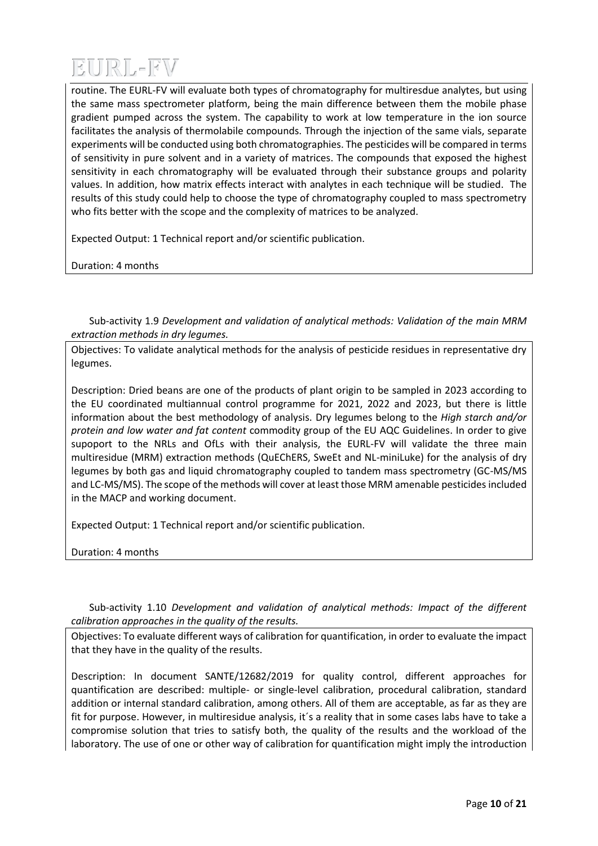routine. The EURL-FV will evaluate both types of chromatography for multiresdue analytes, but using the same mass spectrometer platform, being the main difference between them the mobile phase gradient pumped across the system. The capability to work at low temperature in the ion source facilitates the analysis of thermolabile compounds. Through the injection of the same vials, separate experiments will be conducted using both chromatographies. The pesticides will be compared in terms of sensitivity in pure solvent and in a variety of matrices. The compounds that exposed the highest sensitivity in each chromatography will be evaluated through their substance groups and polarity values. In addition, how matrix effects interact with analytes in each technique will be studied. The results of this study could help to choose the type of chromatography coupled to mass spectrometry who fits better with the scope and the complexity of matrices to be analyzed.

Expected Output: 1 Technical report and/or scientific publication.

Duration: 4 months

Sub-activity 1.9 *Development and validation of analytical methods: Validation of the main MRM extraction methods in dry legumes.*

Objectives: To validate analytical methods for the analysis of pesticide residues in representative dry legumes.

Description: Dried beans are one of the products of plant origin to be sampled in 2023 according to the EU coordinated multiannual control programme for 2021, 2022 and 2023, but there is little information about the best methodology of analysis. Dry legumes belong to the *High starch and/or protein and low water and fat content* commodity group of the EU AQC Guidelines. In order to give supoport to the NRLs and OfLs with their analysis, the EURL-FV will validate the three main multiresidue (MRM) extraction methods (QuEChERS, SweEt and NL-miniLuke) for the analysis of dry legumes by both gas and liquid chromatography coupled to tandem mass spectrometry (GC-MS/MS and LC-MS/MS). The scope of the methods will cover at least those MRM amenable pesticides included in the MACP and working document.

Expected Output: 1 Technical report and/or scientific publication.

Duration: 4 months

Sub-activity 1.10 *Development and validation of analytical methods: Impact of the different calibration approaches in the quality of the results.*

Objectives: To evaluate different ways of calibration for quantification, in order to evaluate the impact that they have in the quality of the results.

Description: In document SANTE/12682/2019 for quality control, different approaches for quantification are described: multiple- or single-level calibration, procedural calibration, standard addition or internal standard calibration, among others. All of them are acceptable, as far as they are fit for purpose. However, in multiresidue analysis, it´s a reality that in some cases labs have to take a compromise solution that tries to satisfy both, the quality of the results and the workload of the laboratory. The use of one or other way of calibration for quantification might imply the introduction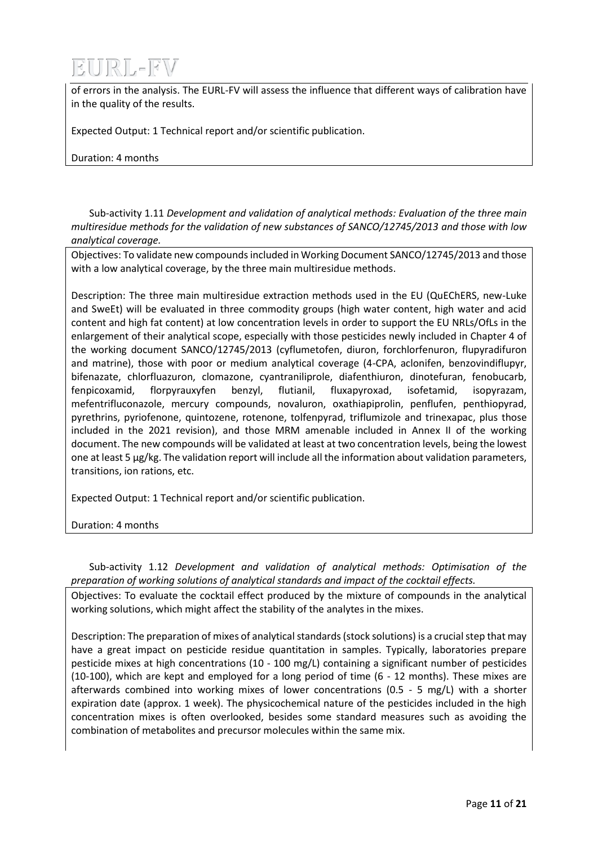of errors in the analysis. The EURL-FV will assess the influence that different ways of calibration have in the quality of the results.

Expected Output: 1 Technical report and/or scientific publication.

Duration: 4 months

Sub-activity 1.11 *Development and validation of analytical methods: Evaluation of the three main multiresidue methods for the validation of new substances of SANCO/12745/2013 and those with low analytical coverage.*

Objectives: To validate new compounds included in Working Document SANCO/12745/2013 and those with a low analytical coverage, by the three main multiresidue methods.

Description: The three main multiresidue extraction methods used in the EU (QuEChERS, new-Luke and SweEt) will be evaluated in three commodity groups (high water content, high water and acid content and high fat content) at low concentration levels in order to support the EU NRLs/OfLs in the enlargement of their analytical scope, especially with those pesticides newly included in Chapter 4 of the working document SANCO/12745/2013 (cyflumetofen, diuron, forchlorfenuron, flupyradifuron and matrine), those with poor or medium analytical coverage (4-CPA, aclonifen, benzovindiflupyr, bifenazate, chlorfluazuron, clomazone, cyantraniliprole, diafenthiuron, dinotefuran, fenobucarb, fenpicoxamid, florpyrauxyfen benzyl, flutianil, fluxapyroxad, isofetamid, isopyrazam, mefentrifluconazole, mercury compounds, novaluron, oxathiapiprolin, penflufen, penthiopyrad, pyrethrins, pyriofenone, quintozene, rotenone, tolfenpyrad, triflumizole and trinexapac, plus those included in the 2021 revision), and those MRM amenable included in Annex II of the working document. The new compounds will be validated at least at two concentration levels, being the lowest one at least 5 μg/kg. The validation report will include all the information about validation parameters, transitions, ion rations, etc.

Expected Output: 1 Technical report and/or scientific publication.

Duration: 4 months

Sub-activity 1.12 *Development and validation of analytical methods: Optimisation of the preparation of working solutions of analytical standards and impact of the cocktail effects.*

Objectives: To evaluate the cocktail effect produced by the mixture of compounds in the analytical working solutions, which might affect the stability of the analytes in the mixes.

Description: The preparation of mixes of analytical standards (stock solutions) is a crucial step that may have a great impact on pesticide residue quantitation in samples. Typically, laboratories prepare pesticide mixes at high concentrations (10 - 100 mg/L) containing a significant number of pesticides (10-100), which are kept and employed for a long period of time (6 - 12 months). These mixes are afterwards combined into working mixes of lower concentrations (0.5 - 5 mg/L) with a shorter expiration date (approx. 1 week). The physicochemical nature of the pesticides included in the high concentration mixes is often overlooked, besides some standard measures such as avoiding the combination of metabolites and precursor molecules within the same mix.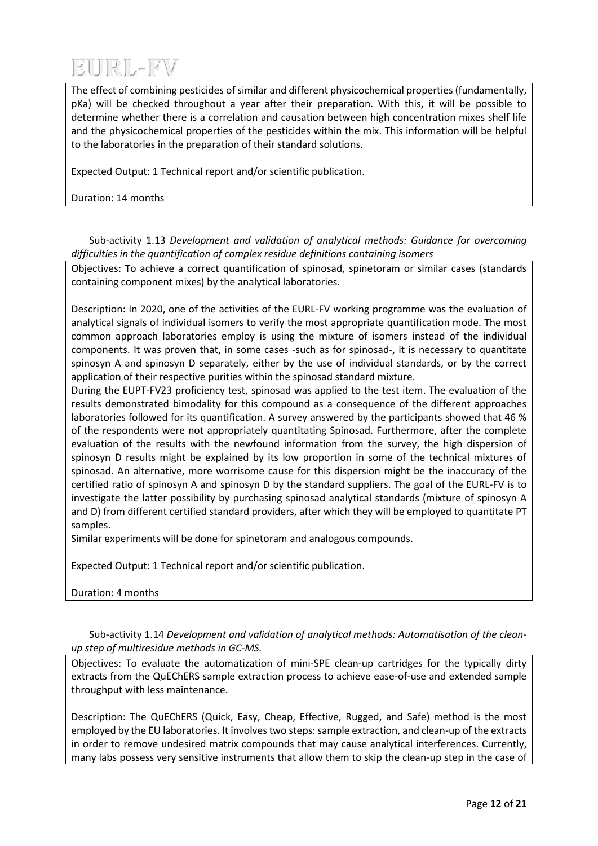The effect of combining pesticides of similar and different physicochemical properties (fundamentally, pKa) will be checked throughout a year after their preparation. With this, it will be possible to determine whether there is a correlation and causation between high concentration mixes shelf life and the physicochemical properties of the pesticides within the mix. This information will be helpful to the laboratories in the preparation of their standard solutions.

Expected Output: 1 Technical report and/or scientific publication.

Duration: 14 months

Sub-activity 1.13 *Development and validation of analytical methods: Guidance for overcoming difficulties in the quantification of complex residue definitions containing isomers*

Objectives: To achieve a correct quantification of spinosad, spinetoram or similar cases (standards containing component mixes) by the analytical laboratories.

Description: In 2020, one of the activities of the EURL-FV working programme was the evaluation of analytical signals of individual isomers to verify the most appropriate quantification mode. The most common approach laboratories employ is using the mixture of isomers instead of the individual components. It was proven that, in some cases -such as for spinosad-, it is necessary to quantitate spinosyn A and spinosyn D separately, either by the use of individual standards, or by the correct application of their respective purities within the spinosad standard mixture.

During the EUPT-FV23 proficiency test, spinosad was applied to the test item. The evaluation of the results demonstrated bimodality for this compound as a consequence of the different approaches laboratories followed for its quantification. A survey answered by the participants showed that 46 % of the respondents were not appropriately quantitating Spinosad. Furthermore, after the complete evaluation of the results with the newfound information from the survey, the high dispersion of spinosyn D results might be explained by its low proportion in some of the technical mixtures of spinosad. An alternative, more worrisome cause for this dispersion might be the inaccuracy of the certified ratio of spinosyn A and spinosyn D by the standard suppliers. The goal of the EURL-FV is to investigate the latter possibility by purchasing spinosad analytical standards (mixture of spinosyn A and D) from different certified standard providers, after which they will be employed to quantitate PT samples.

Similar experiments will be done for spinetoram and analogous compounds.

Expected Output: 1 Technical report and/or scientific publication.

Duration: 4 months

Sub-activity 1.14 *Development and validation of analytical methods: Automatisation of the cleanup step of multiresidue methods in GC-MS.*

Objectives: To evaluate the automatization of mini-SPE clean-up cartridges for the typically dirty extracts from the QuEChERS sample extraction process to achieve ease-of-use and extended sample throughput with less maintenance.

Description: The QuEChERS (Quick, Easy, Cheap, Effective, Rugged, and Safe) method is the most employed by the EU laboratories. It involves two steps: sample extraction, and clean-up of the extracts in order to remove undesired matrix compounds that may cause analytical interferences. Currently, many labs possess very sensitive instruments that allow them to skip the clean-up step in the case of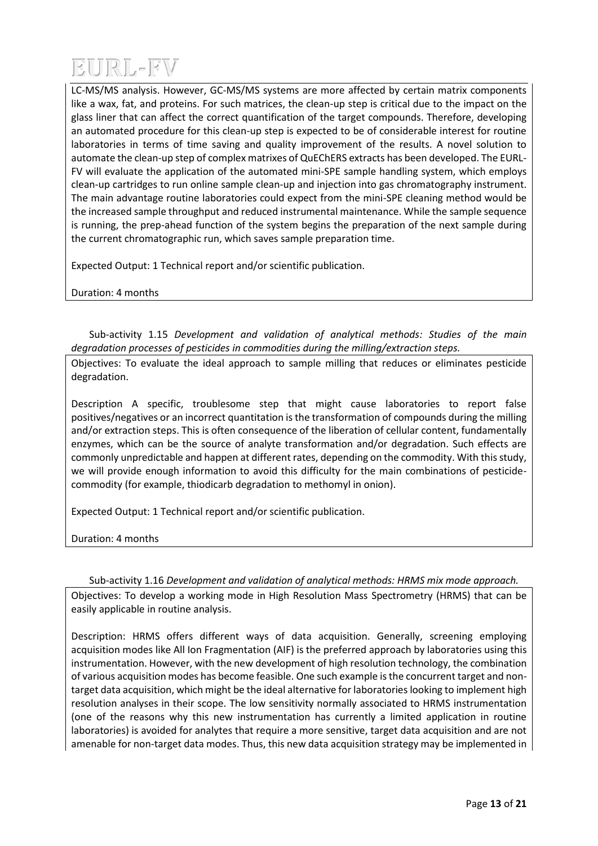LC-MS/MS analysis. However, GC-MS/MS systems are more affected by certain matrix components like a wax, fat, and proteins. For such matrices, the clean-up step is critical due to the impact on the glass liner that can affect the correct quantification of the target compounds. Therefore, developing an automated procedure for this clean-up step is expected to be of considerable interest for routine laboratories in terms of time saving and quality improvement of the results. A novel solution to automate the clean-up step of complex matrixes of QuEChERS extracts has been developed. The EURL-FV will evaluate the application of the automated mini-SPE sample handling system, which employs clean-up cartridges to run online sample clean-up and injection into gas chromatography instrument. The main advantage routine laboratories could expect from the mini-SPE cleaning method would be the increased sample throughput and reduced instrumental maintenance. While the sample sequence is running, the prep-ahead function of the system begins the preparation of the next sample during the current chromatographic run, which saves sample preparation time.

Expected Output: 1 Technical report and/or scientific publication.

Duration: 4 months

Sub-activity 1.15 *Development and validation of analytical methods: Studies of the main degradation processes of pesticides in commodities during the milling/extraction steps.*

Objectives: To evaluate the ideal approach to sample milling that reduces or eliminates pesticide degradation.

Description A specific, troublesome step that might cause laboratories to report false positives/negatives or an incorrect quantitation is the transformation of compounds during the milling and/or extraction steps. This is often consequence of the liberation of cellular content, fundamentally enzymes, which can be the source of analyte transformation and/or degradation. Such effects are commonly unpredictable and happen at different rates, depending on the commodity. With this study, we will provide enough information to avoid this difficulty for the main combinations of pesticidecommodity (for example, thiodicarb degradation to methomyl in onion).

Expected Output: 1 Technical report and/or scientific publication.

Duration: 4 months

### Sub-activity 1.16 *Development and validation of analytical methods: HRMS mix mode approach.*

Objectives: To develop a working mode in High Resolution Mass Spectrometry (HRMS) that can be easily applicable in routine analysis.

Description: HRMS offers different ways of data acquisition. Generally, screening employing acquisition modes like All Ion Fragmentation (AIF) is the preferred approach by laboratories using this instrumentation. However, with the new development of high resolution technology, the combination of various acquisition modes has become feasible. One such example is the concurrent target and nontarget data acquisition, which might be the ideal alternative for laboratories looking to implement high resolution analyses in their scope. The low sensitivity normally associated to HRMS instrumentation (one of the reasons why this new instrumentation has currently a limited application in routine laboratories) is avoided for analytes that require a more sensitive, target data acquisition and are not amenable for non-target data modes. Thus, this new data acquisition strategy may be implemented in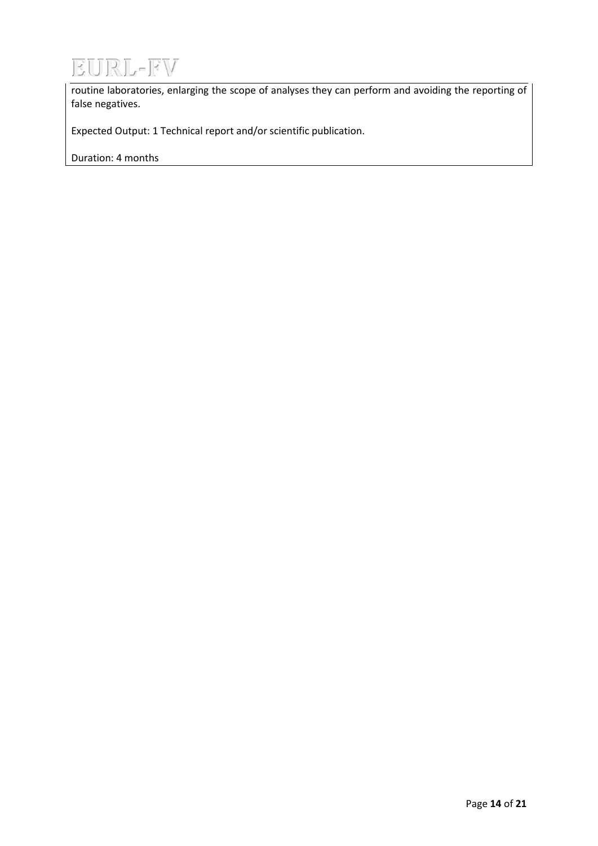

routine laboratories, enlarging the scope of analyses they can perform and avoiding the reporting of false negatives.

Expected Output: 1 Technical report and/or scientific publication.

Duration: 4 months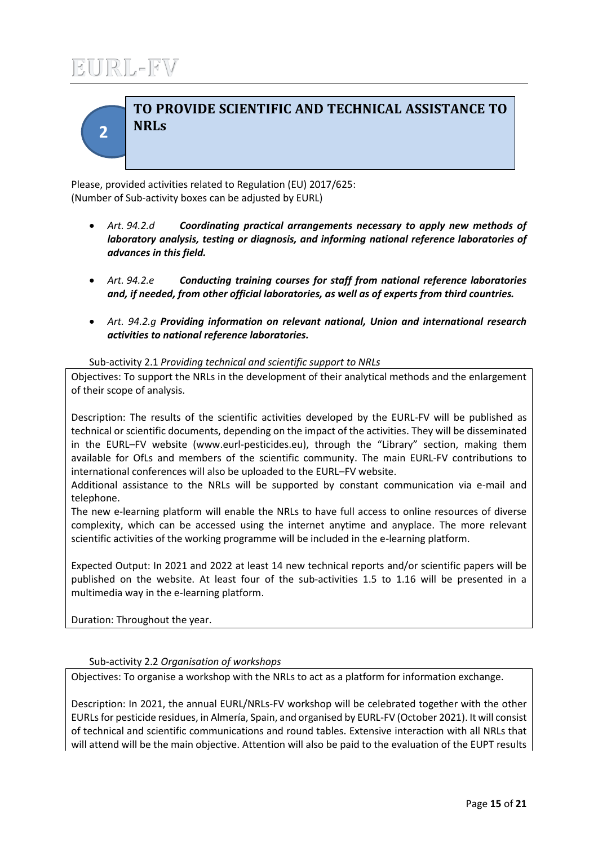**2**

## **TO PROVIDE SCIENTIFIC AND TECHNICAL ASSISTANCE TO NRLs**

Please, provided activities related to Regulation (EU) 2017/625: (Number of Sub-activity boxes can be adjusted by EURL)

- *Art. 94.2.d Coordinating practical arrangements necessary to apply new methods of laboratory analysis, testing or diagnosis, and informing national reference laboratories of advances in this field.*
- *Art. 94.2.e Conducting training courses for staff from national reference laboratories and, if needed, from other official laboratories, as well as of experts from third countries.*
- *Art. 94.2.g Providing information on relevant national, Union and international research activities to national reference laboratories.*

### Sub-activity 2.1 *Providing technical and scientific support to NRLs*

Objectives: To support the NRLs in the development of their analytical methods and the enlargement of their scope of analysis.

Description: The results of the scientific activities developed by the EURL-FV will be published as technical or scientific documents, depending on the impact of the activities. They will be disseminated in the EURL–FV website (www.eurl-pesticides.eu), through the "Library" section, making them available for OfLs and members of the scientific community. The main EURL-FV contributions to international conferences will also be uploaded to the EURL–FV website.

Additional assistance to the NRLs will be supported by constant communication via e-mail and telephone.

The new e-learning platform will enable the NRLs to have full access to online resources of diverse complexity, which can be accessed using the internet anytime and anyplace. The more relevant scientific activities of the working programme will be included in the e-learning platform.

Expected Output: In 2021 and 2022 at least 14 new technical reports and/or scientific papers will be published on the website. At least four of the sub-activities 1.5 to 1.16 will be presented in a multimedia way in the e-learning platform.

Duration: Throughout the year.

### Sub-activity 2.2 *Organisation of workshops*

Objectives: To organise a workshop with the NRLs to act as a platform for information exchange.

Description: In 2021, the annual EURL/NRLs-FV workshop will be celebrated together with the other EURLs for pesticide residues, in Almería, Spain, and organised by EURL-FV (October 2021). It will consist of technical and scientific communications and round tables. Extensive interaction with all NRLs that will attend will be the main objective. Attention will also be paid to the evaluation of the EUPT results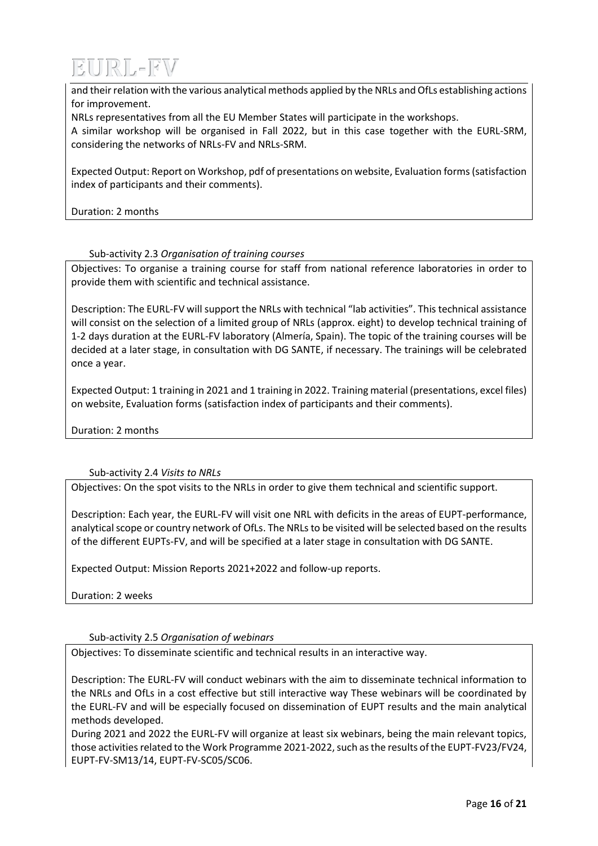

and their relation with the various analytical methods applied by the NRLs and OfLs establishing actions for improvement.

NRLs representatives from all the EU Member States will participate in the workshops.

A similar workshop will be organised in Fall 2022, but in this case together with the EURL-SRM, considering the networks of NRLs-FV and NRLs-SRM.

Expected Output: Report on Workshop, pdf of presentations on website, Evaluation forms (satisfaction index of participants and their comments).

Duration: 2 months

#### Sub-activity 2.3 *Organisation of training courses*

Objectives: To organise a training course for staff from national reference laboratories in order to provide them with scientific and technical assistance.

Description: The EURL-FV will support the NRLs with technical "lab activities". This technical assistance will consist on the selection of a limited group of NRLs (approx. eight) to develop technical training of 1-2 days duration at the EURL-FV laboratory (Almería, Spain). The topic of the training courses will be decided at a later stage, in consultation with DG SANTE, if necessary. The trainings will be celebrated once a year.

Expected Output: 1 training in 2021 and 1 training in 2022. Training material (presentations, excel files) on website, Evaluation forms (satisfaction index of participants and their comments).

Duration: 2 months

### Sub-activity 2.4 *Visits to NRLs*

Objectives: On the spot visits to the NRLs in order to give them technical and scientific support.

Description: Each year, the EURL-FV will visit one NRL with deficits in the areas of EUPT-performance, analytical scope or country network of OfLs. The NRLs to be visited will be selected based on the results of the different EUPTs-FV, and will be specified at a later stage in consultation with DG SANTE.

Expected Output: Mission Reports 2021+2022 and follow-up reports.

Duration: 2 weeks

#### Sub-activity 2.5 *Organisation of webinars*

Objectives: To disseminate scientific and technical results in an interactive way.

Description: The EURL-FV will conduct webinars with the aim to disseminate technical information to the NRLs and OfLs in a cost effective but still interactive way These webinars will be coordinated by the EURL-FV and will be especially focused on dissemination of EUPT results and the main analytical methods developed.

During 2021 and 2022 the EURL-FV will organize at least six webinars, being the main relevant topics, those activities related to the Work Programme 2021-2022, such as the results of the EUPT-FV23/FV24, EUPT-FV-SM13/14, EUPT-FV-SC05/SC06.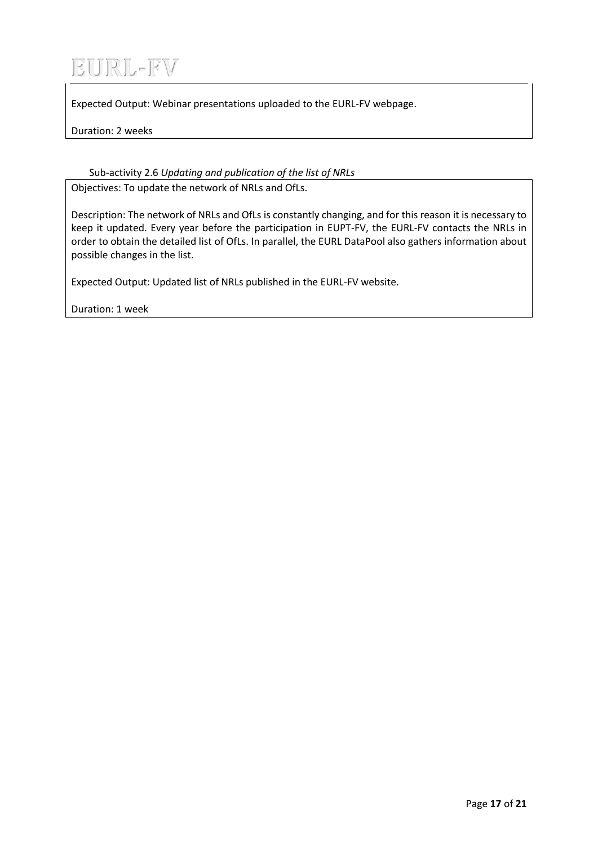Expected Output: Webinar presentations uploaded to the EURL-FV webpage.

Duration: 2 weeks

## Sub-activity 2.6 *Updating and publication of the list of NRLs*

Objectives: To update the network of NRLs and OfLs.

Description: The network of NRLs and OfLs is constantly changing, and for this reason it is necessary to keep it updated. Every year before the participation in EUPT-FV, the EURL-FV contacts the NRLs in order to obtain the detailed list of OfLs. In parallel, the EURL DataPool also gathers information about possible changes in the list.

Expected Output: Updated list of NRLs published in the EURL-FV website.

Duration: 1 week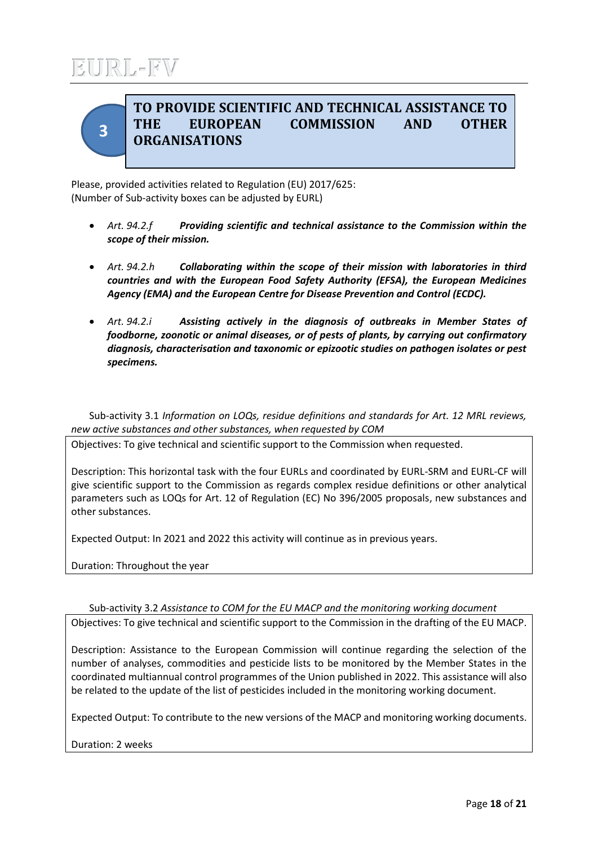

## **TO PROVIDE SCIENTIFIC AND TECHNICAL ASSISTANCE TO THE EUROPEAN COMMISSION AND OTHER ORGANISATIONS**

Please, provided activities related to Regulation (EU) 2017/625: (Number of Sub-activity boxes can be adjusted by EURL)

- *Art. 94.2.f Providing scientific and technical assistance to the Commission within the scope of their mission.*
- *Art. 94.2.h Collaborating within the scope of their mission with laboratories in third countries and with the European Food Safety Authority (EFSA), the European Medicines Agency (EMA) and the European Centre for Disease Prevention and Control (ECDC).*
- *Art. 94.2.i Assisting actively in the diagnosis of outbreaks in Member States of foodborne, zoonotic or animal diseases, or of pests of plants, by carrying out confirmatory diagnosis, characterisation and taxonomic or epizootic studies on pathogen isolates or pest specimens.*

Sub-activity 3.1 *Information on LOQs, residue definitions and standards for Art. 12 MRL reviews, new active substances and other substances, when requested by COM*

Objectives: To give technical and scientific support to the Commission when requested.

Description: This horizontal task with the four EURLs and coordinated by EURL-SRM and EURL-CF will give scientific support to the Commission as regards complex residue definitions or other analytical parameters such as LOQs for Art. 12 of Regulation (EC) No 396/2005 proposals, new substances and other substances.

Expected Output: In 2021 and 2022 this activity will continue as in previous years.

Duration: Throughout the year

### Sub-activity 3.2 *Assistance to COM for the EU MACP and the monitoring working document*

Objectives: To give technical and scientific support to the Commission in the drafting of the EU MACP.

Description: Assistance to the European Commission will continue regarding the selection of the number of analyses, commodities and pesticide lists to be monitored by the Member States in the coordinated multiannual control programmes of the Union published in 2022. This assistance will also be related to the update of the list of pesticides included in the monitoring working document.

Expected Output: To contribute to the new versions of the MACP and monitoring working documents.

Duration: 2 weeks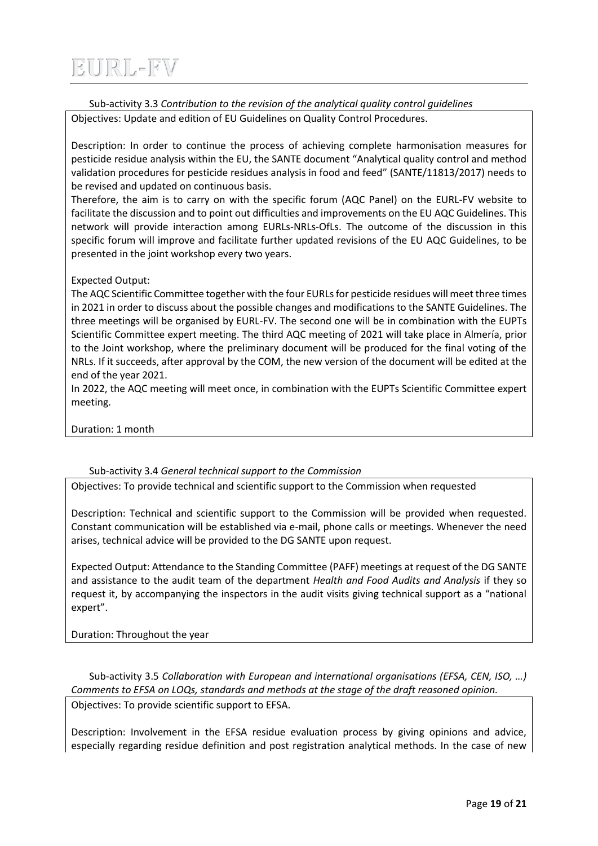Sub-activity 3.3 *Contribution to the revision of the analytical quality control guidelines*

Objectives: Update and edition of EU Guidelines on Quality Control Procedures.

Description: In order to continue the process of achieving complete harmonisation measures for pesticide residue analysis within the EU, the SANTE document "Analytical quality control and method validation procedures for pesticide residues analysis in food and feed" (SANTE/11813/2017) needs to be revised and updated on continuous basis.

Therefore, the aim is to carry on with the specific forum (AQC Panel) on the EURL-FV website to facilitate the discussion and to point out difficulties and improvements on the EU AQC Guidelines. This network will provide interaction among EURLs-NRLs-OfLs. The outcome of the discussion in this specific forum will improve and facilitate further updated revisions of the EU AQC Guidelines, to be presented in the joint workshop every two years.

### Expected Output:

The AQC Scientific Committee together with the four EURLs for pesticide residues will meet three times in 2021 in order to discuss about the possible changes and modifications to the SANTE Guidelines. The three meetings will be organised by EURL-FV. The second one will be in combination with the EUPTs Scientific Committee expert meeting. The third AQC meeting of 2021 will take place in Almería, prior to the Joint workshop, where the preliminary document will be produced for the final voting of the NRLs. If it succeeds, after approval by the COM, the new version of the document will be edited at the end of the year 2021.

In 2022, the AQC meeting will meet once, in combination with the EUPTs Scientific Committee expert meeting.

Duration: 1 month

### Sub-activity 3.4 *General technical support to the Commission*

Objectives: To provide technical and scientific support to the Commission when requested

Description: Technical and scientific support to the Commission will be provided when requested. Constant communication will be established via e-mail, phone calls or meetings. Whenever the need arises, technical advice will be provided to the DG SANTE upon request.

Expected Output: Attendance to the Standing Committee (PAFF) meetings at request of the DG SANTE and assistance to the audit team of the department *Health and Food Audits and Analysis* if they so request it, by accompanying the inspectors in the audit visits giving technical support as a "national expert".

Duration: Throughout the year

Sub-activity 3.5 *Collaboration with European and international organisations (EFSA, CEN, ISO, …) Comments to EFSA on LOQs, standards and methods at the stage of the draft reasoned opinion.* Objectives: To provide scientific support to EFSA.

Description: Involvement in the EFSA residue evaluation process by giving opinions and advice, especially regarding residue definition and post registration analytical methods. In the case of new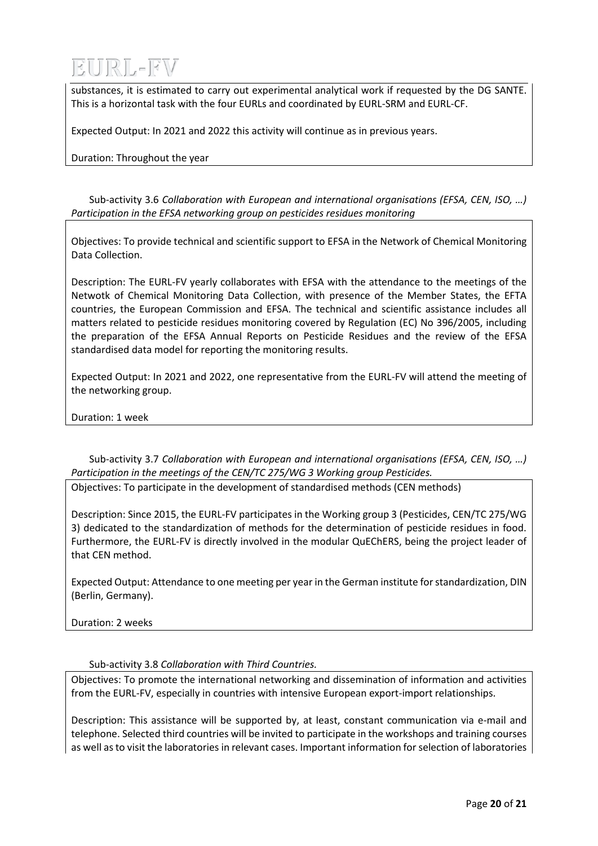substances, it is estimated to carry out experimental analytical work if requested by the DG SANTE. This is a horizontal task with the four EURLs and coordinated by EURL-SRM and EURL-CF.

Expected Output: In 2021 and 2022 this activity will continue as in previous years.

Duration: Throughout the year

Sub-activity 3.6 *Collaboration with European and international organisations (EFSA, CEN, ISO, …) Participation in the EFSA networking group on pesticides residues monitoring*

Objectives: To provide technical and scientific support to EFSA in the Network of Chemical Monitoring Data Collection.

Description: The EURL-FV yearly collaborates with EFSA with the attendance to the meetings of the Netwotk of Chemical Monitoring Data Collection, with presence of the Member States, the EFTA countries, the European Commission and EFSA. The technical and scientific assistance includes all matters related to pesticide residues monitoring covered by Regulation (EC) No 396/2005, including the preparation of the EFSA Annual Reports on Pesticide Residues and the review of the EFSA standardised data model for reporting the monitoring results.

Expected Output: In 2021 and 2022, one representative from the EURL-FV will attend the meeting of the networking group.

Duration: 1 week

Sub-activity 3.7 *Collaboration with European and international organisations (EFSA, CEN, ISO, …) Participation in the meetings of the CEN/TC 275/WG 3 Working group Pesticides.*

Objectives: To participate in the development of standardised methods (CEN methods)

Description: Since 2015, the EURL-FV participates in the Working group 3 (Pesticides, CEN/TC 275/WG 3) dedicated to the standardization of methods for the determination of pesticide residues in food. Furthermore, the EURL-FV is directly involved in the modular QuEChERS, being the project leader of that CEN method.

Expected Output: Attendance to one meeting per year in the German institute for standardization, DIN (Berlin, Germany).

Duration: 2 weeks

Sub-activity 3.8 *Collaboration with Third Countries.*

Objectives: To promote the international networking and dissemination of information and activities from the EURL-FV, especially in countries with intensive European export-import relationships.

Description: This assistance will be supported by, at least, constant communication via e-mail and telephone. Selected third countries will be invited to participate in the workshops and training courses as well as to visit the laboratories in relevant cases. Important information for selection of laboratories